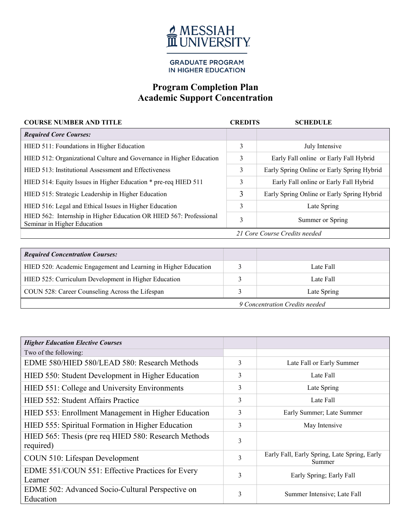

**GRADUATE PROGRAM** IN HIGHER EDUCATION

## **Program Completion Plan Academic Support Concentration**

| <b>COURSE NUMBER AND TITLE</b>                                                                    | <b>CREDITS</b> | <b>SCHEDULE</b>                            |
|---------------------------------------------------------------------------------------------------|----------------|--------------------------------------------|
| <b>Required Core Courses:</b>                                                                     |                |                                            |
| HIED 511: Foundations in Higher Education                                                         | 3              | July Intensive                             |
| HIED 512: Organizational Culture and Governance in Higher Education                               | 3              | Early Fall online or Early Fall Hybrid     |
| HIED 513: Institutional Assessment and Effectiveness                                              | 3              | Early Spring Online or Early Spring Hybrid |
| HIED 514: Equity Issues in Higher Education * pre-req HIED 511                                    | 3              | Early Fall online or Early Fall Hybrid     |
| HIED 515: Strategic Leadership in Higher Education                                                | 3              | Early Spring Online or Early Spring Hybrid |
| HIED 516: Legal and Ethical Issues in Higher Education                                            | 3              | Late Spring                                |
| HIED 562: Internship in Higher Education OR HIED 567: Professional<br>Seminar in Higher Education | 3              | Summer or Spring                           |
| 21 Core Course Credits needed                                                                     |                |                                            |

| <b>Required Concentration Courses:</b>                         |  |             |
|----------------------------------------------------------------|--|-------------|
| HIED 520: Academic Engagement and Learning in Higher Education |  | Late Fall   |
| HIED 525: Curriculum Development in Higher Education           |  | Late Fall   |
| COUN 528: Career Counseling Across the Lifespan                |  | Late Spring |
| 9 Concentration Credits needed                                 |  |             |

| <b>Higher Education Elective Courses</b>                          |   |                                                        |
|-------------------------------------------------------------------|---|--------------------------------------------------------|
| Two of the following:                                             |   |                                                        |
| EDME 580/HIED 580/LEAD 580: Research Methods                      | 3 | Late Fall or Early Summer                              |
| HIED 550: Student Development in Higher Education                 | 3 | Late Fall                                              |
| HIED 551: College and University Environments                     | 3 | Late Spring                                            |
| HIED 552: Student Affairs Practice                                | 3 | Late Fall                                              |
| HIED 553: Enrollment Management in Higher Education               | 3 | Early Summer; Late Summer                              |
| HIED 555: Spiritual Formation in Higher Education                 | 3 | May Intensive                                          |
| HIED 565: Thesis (pre req HIED 580: Research Methods<br>required) | 3 |                                                        |
| COUN 510: Lifespan Development                                    | 3 | Early Fall, Early Spring, Late Spring, Early<br>Summer |
| EDME 551/COUN 551: Effective Practices for Every<br>Learner       | 3 | Early Spring; Early Fall                               |
| EDME 502: Advanced Socio-Cultural Perspective on<br>Education     | 3 | Summer Intensive; Late Fall                            |